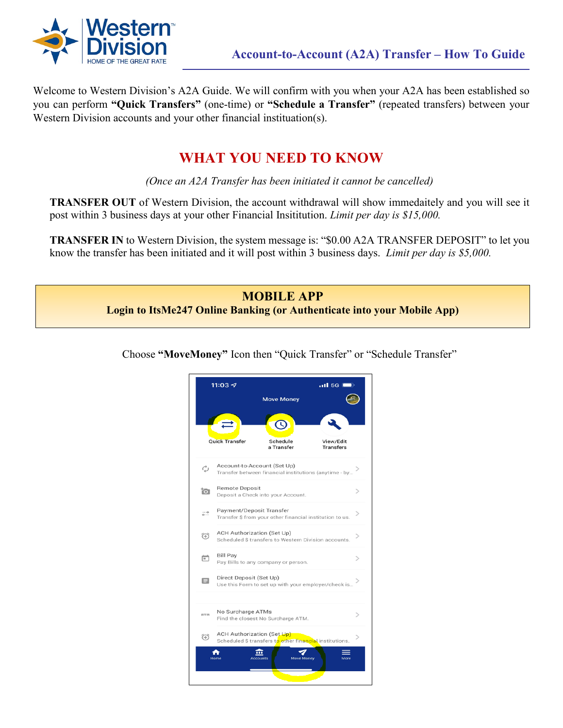

Welcome to Western Division's A2A Guide. We will confirm with you when your A2A has been established so you can perform **"Quick Transfers"** (one-time) or **"Schedule a Transfer"** (repeated transfers) between your Western Division accounts and your other financial instituation(s).

## **WHAT YOU NEED TO KNOW**

*(Once an A2A Transfer has been initiated it cannot be cancelled)*

**TRANSFER OUT** of Western Division, the account withdrawal will show immedaitely and you will see it post within 3 business days at your other Financial Insititution. *Limit per day is \$15,000.*

**TRANSFER IN** to Western Division, the system message is: "\$0.00 A2A TRANSFER DEPOSIT" to let you know the transfer has been initiated and it will post within 3 business days. *Limit per day is \$5,000.* 

## **MOBILE APP Login to ItsMe247 Online Banking (or Authenticate into your Mobile App)**

Choose **"MoveMoney"** Icon then "Quick Transfer" or "Schedule Transfer"